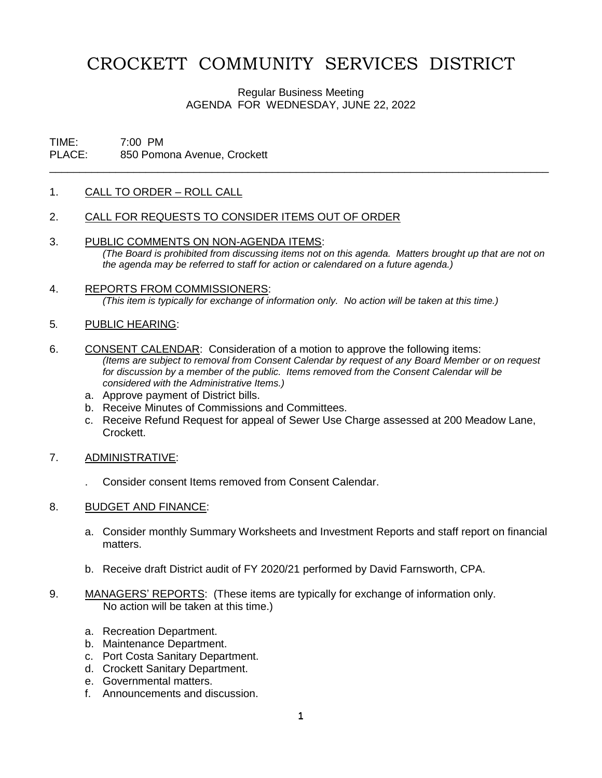# CROCKETT COMMUNITY SERVICES DISTRICT

Regular Business Meeting AGENDA FOR WEDNESDAY, JUNE 22, 2022

\_\_\_\_\_\_\_\_\_\_\_\_\_\_\_\_\_\_\_\_\_\_\_\_\_\_\_\_\_\_\_\_\_\_\_\_\_\_\_\_\_\_\_\_\_\_\_\_\_\_\_\_\_\_\_\_\_\_\_\_\_\_\_\_\_\_\_\_\_\_\_\_\_\_\_\_\_\_\_\_\_\_\_

## TIME: 7:00 PM PLACE: 850 Pomona Avenue, Crockett

#### 1. CALL TO ORDER – ROLL CALL

- 2. CALL FOR REQUESTS TO CONSIDER ITEMS OUT OF ORDER
- 3. PUBLIC COMMENTS ON NON-AGENDA ITEMS: *(The Board is prohibited from discussing items not on this agenda. Matters brought up that are not on the agenda may be referred to staff for action or calendared on a future agenda.)*
- 4. REPORTS FROM COMMISSIONERS: *(This item is typically for exchange of information only. No action will be taken at this time.)*

#### 5*.* PUBLIC HEARING:

- 6. CONSENT CALENDAR: Consideration of a motion to approve the following items: *(Items are subject to removal from Consent Calendar by request of any Board Member or on request for discussion by a member of the public. Items removed from the Consent Calendar will be considered with the Administrative Items.)*
	- a. Approve payment of District bills.
	- b. Receive Minutes of Commissions and Committees.
	- c. Receive Refund Request for appeal of Sewer Use Charge assessed at 200 Meadow Lane, Crockett.
- 7. ADMINISTRATIVE:
	- . Consider consent Items removed from Consent Calendar.

#### 8. BUDGET AND FINANCE:

- a. Consider monthly Summary Worksheets and Investment Reports and staff report on financial matters.
- b. Receive draft District audit of FY 2020/21 performed by David Farnsworth, CPA.
- 9. MANAGERS' REPORTS: (These items are typically for exchange of information only. No action will be taken at this time.)
	- a. Recreation Department.
	- b. Maintenance Department.
	- c. Port Costa Sanitary Department.
	- d. Crockett Sanitary Department.
	- e. Governmental matters.
	- f. Announcements and discussion.